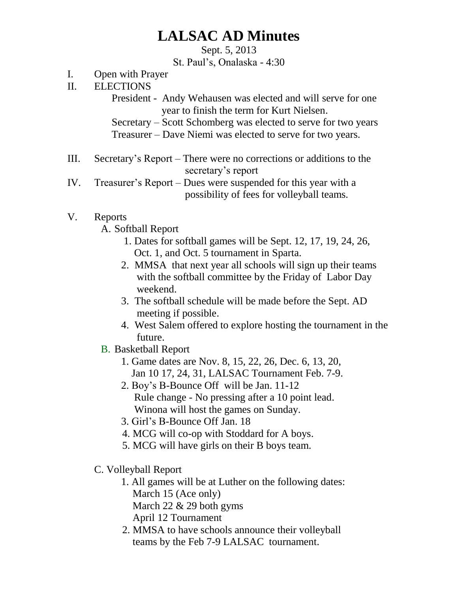## **LALSAC AD Minutes**

Sept. 5, 2013

St. Paul's, Onalaska - 4:30

- I. Open with Prayer
- II. ELECTIONS

 President - Andy Wehausen was elected and will serve for one year to finish the term for Kurt Nielsen.

Secretary – Scott Schomberg was elected to serve for two years

Treasurer – Dave Niemi was elected to serve for two years.

- III. Secretary's Report There were no corrections or additions to the secretary's report
- IV. Treasurer's Report Dues were suspended for this year with a possibility of fees for volleyball teams.

## V. Reports

A. Softball Report

- 1. Dates for softball games will be Sept. 12, 17, 19, 24, 26, Oct. 1, and Oct. 5 tournament in Sparta.
- 2. MMSA that next year all schools will sign up their teams with the softball committee by the Friday of Labor Day weekend.
- 3. The softball schedule will be made before the Sept. AD meeting if possible.
- 4. West Salem offered to explore hosting the tournament in the future.
- B. Basketball Report
	- 1. Game dates are Nov. 8, 15, 22, 26, Dec. 6, 13, 20, Jan 10 17, 24, 31, LALSAC Tournament Feb. 7-9.
	- 2. Boy's B-Bounce Off will be Jan. 11-12 Rule change - No pressing after a 10 point lead. Winona will host the games on Sunday.
	- 3. Girl's B-Bounce Off Jan. 18
	- 4. MCG will co-op with Stoddard for A boys.
	- 5. MCG will have girls on their B boys team.
- C. Volleyball Report
	- 1. All games will be at Luther on the following dates: March 15 (Ace only) March 22 & 29 both gyms
		- April 12 Tournament
	- 2. MMSA to have schools announce their volleyball teams by the Feb 7-9 LALSAC tournament.